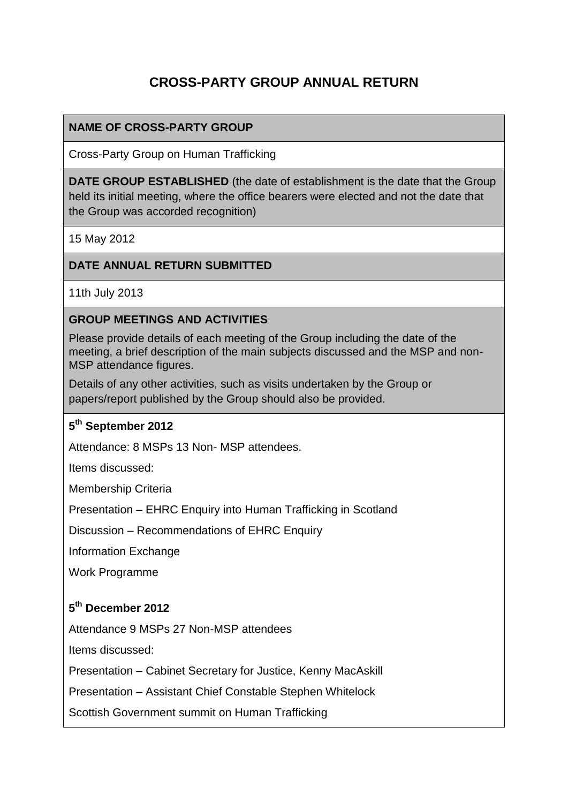# **CROSS-PARTY GROUP ANNUAL RETURN**

#### **NAME OF CROSS-PARTY GROUP**

Cross-Party Group on Human Trafficking

**DATE GROUP ESTABLISHED** (the date of establishment is the date that the Group held its initial meeting, where the office bearers were elected and not the date that the Group was accorded recognition)

15 May 2012

#### **DATE ANNUAL RETURN SUBMITTED**

11th July 2013

#### **GROUP MEETINGS AND ACTIVITIES**

Please provide details of each meeting of the Group including the date of the meeting, a brief description of the main subjects discussed and the MSP and non-MSP attendance figures.

Details of any other activities, such as visits undertaken by the Group or papers/report published by the Group should also be provided.

#### **5 th September 2012**

Attendance: 8 MSPs 13 Non- MSP attendees.

Items discussed:

Membership Criteria

Presentation – EHRC Enquiry into Human Trafficking in Scotland

Discussion – Recommendations of EHRC Enquiry

Information Exchange

Work Programme

#### **5 th December 2012**

Attendance 9 MSPs 27 Non-MSP attendees

Items discussed:

Presentation – Cabinet Secretary for Justice, Kenny MacAskill

Presentation – Assistant Chief Constable Stephen Whitelock

Scottish Government summit on Human Trafficking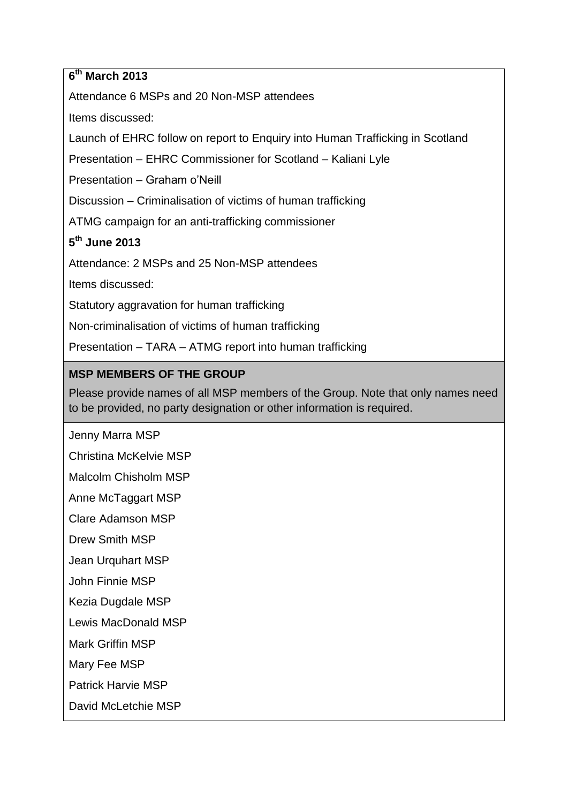### **6 th March 2013**

Attendance 6 MSPs and 20 Non-MSP attendees

Items discussed:

Launch of EHRC follow on report to Enquiry into Human Trafficking in Scotland

Presentation – EHRC Commissioner for Scotland – Kaliani Lyle

Presentation – Graham o'Neill

Discussion – Criminalisation of victims of human trafficking

ATMG campaign for an anti-trafficking commissioner

## **5 th June 2013**

Attendance: 2 MSPs and 25 Non-MSP attendees

Items discussed:

Statutory aggravation for human trafficking

Non-criminalisation of victims of human trafficking

Presentation – TARA – ATMG report into human trafficking

## **MSP MEMBERS OF THE GROUP**

Please provide names of all MSP members of the Group. Note that only names need to be provided, no party designation or other information is required.

Jenny Marra MSP

Christina McKelvie MSP

Malcolm Chisholm MSP

Anne McTaggart MSP

Clare Adamson MSP

Drew Smith MSP

Jean Urquhart MSP

John Finnie MSP

Kezia Dugdale MSP

Lewis MacDonald MSP

Mark Griffin MSP

Mary Fee MSP

Patrick Harvie MSP

David McLetchie MSP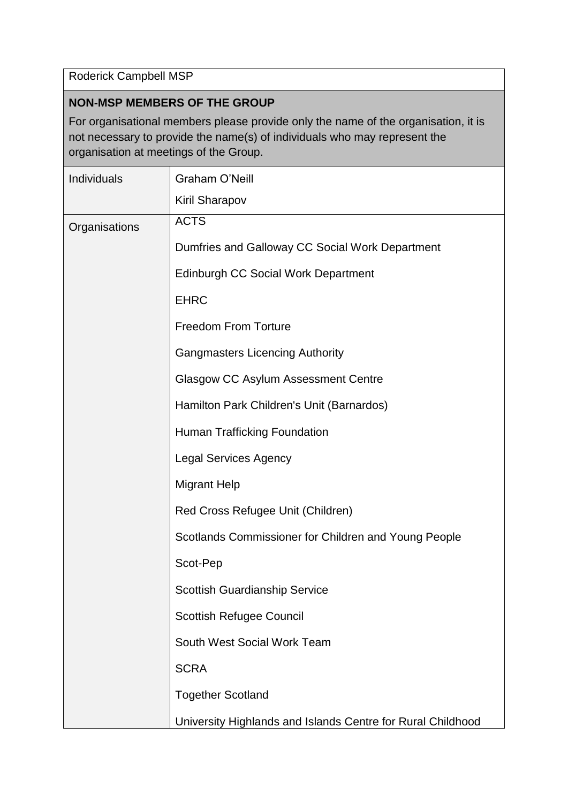Roderick Campbell MSP

## **NON-MSP MEMBERS OF THE GROUP**

For organisational members please provide only the name of the organisation, it is not necessary to provide the name(s) of individuals who may represent the organisation at meetings of the Group.

| Individuals   | Graham O'Neill                                              |
|---------------|-------------------------------------------------------------|
|               | <b>Kiril Sharapov</b>                                       |
| Organisations | <b>ACTS</b>                                                 |
|               | Dumfries and Galloway CC Social Work Department             |
|               | <b>Edinburgh CC Social Work Department</b>                  |
|               | <b>EHRC</b>                                                 |
|               | <b>Freedom From Torture</b>                                 |
|               | <b>Gangmasters Licencing Authority</b>                      |
|               | <b>Glasgow CC Asylum Assessment Centre</b>                  |
|               | Hamilton Park Children's Unit (Barnardos)                   |
|               | <b>Human Trafficking Foundation</b>                         |
|               | <b>Legal Services Agency</b>                                |
|               | <b>Migrant Help</b>                                         |
|               | Red Cross Refugee Unit (Children)                           |
|               | Scotlands Commissioner for Children and Young People        |
|               | Scot-Pep                                                    |
|               | <b>Scottish Guardianship Service</b>                        |
|               | <b>Scottish Refugee Council</b>                             |
|               | South West Social Work Team                                 |
|               | <b>SCRA</b>                                                 |
|               | <b>Together Scotland</b>                                    |
|               | University Highlands and Islands Centre for Rural Childhood |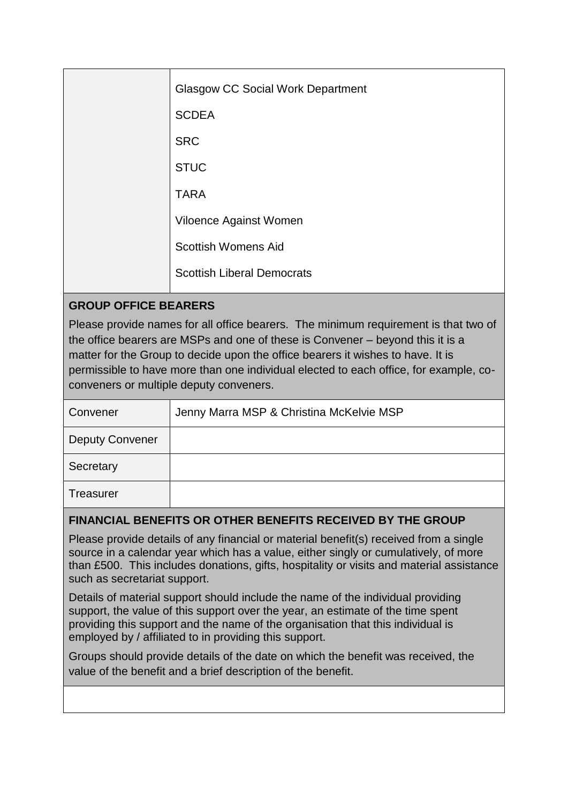|  | <b>Glasgow CC Social Work Department</b> |
|--|------------------------------------------|
|  | <b>SCDEA</b>                             |
|  | <b>SRC</b>                               |
|  | <b>STUC</b>                              |
|  | <b>TARA</b>                              |
|  | Viloence Against Women                   |
|  | <b>Scottish Womens Aid</b>               |
|  | <b>Scottish Liberal Democrats</b>        |
|  |                                          |

### **GROUP OFFICE BEARERS**

Please provide names for all office bearers. The minimum requirement is that two of the office bearers are MSPs and one of these is Convener – beyond this it is a matter for the Group to decide upon the office bearers it wishes to have. It is permissible to have more than one individual elected to each office, for example, coconveners or multiple deputy conveners.

| Convener               | Jenny Marra MSP & Christina McKelvie MSP |
|------------------------|------------------------------------------|
| <b>Deputy Convener</b> |                                          |
| Secretary              |                                          |
| <b>Treasurer</b>       |                                          |

#### **FINANCIAL BENEFITS OR OTHER BENEFITS RECEIVED BY THE GROUP**

Please provide details of any financial or material benefit(s) received from a single source in a calendar year which has a value, either singly or cumulatively, of more than £500. This includes donations, gifts, hospitality or visits and material assistance such as secretariat support.

Details of material support should include the name of the individual providing support, the value of this support over the year, an estimate of the time spent providing this support and the name of the organisation that this individual is employed by / affiliated to in providing this support.

Groups should provide details of the date on which the benefit was received, the value of the benefit and a brief description of the benefit.